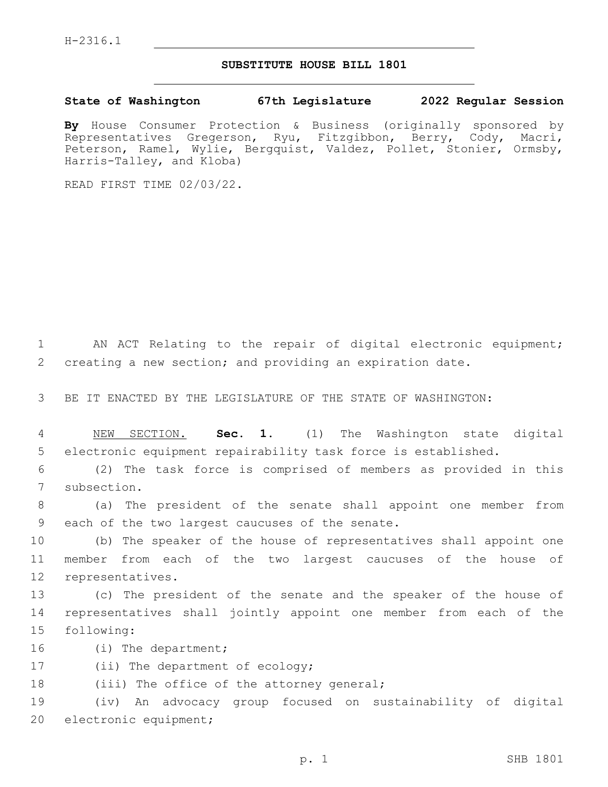## **SUBSTITUTE HOUSE BILL 1801**

**State of Washington 67th Legislature 2022 Regular Session**

**By** House Consumer Protection & Business (originally sponsored by Representatives Gregerson, Ryu, Fitzgibbon, Berry, Cody, Macri, Peterson, Ramel, Wylie, Bergquist, Valdez, Pollet, Stonier, Ormsby, Harris-Talley, and Kloba)

READ FIRST TIME 02/03/22.

1 AN ACT Relating to the repair of digital electronic equipment; 2 creating a new section; and providing an expiration date.

3 BE IT ENACTED BY THE LEGISLATURE OF THE STATE OF WASHINGTON:

4 NEW SECTION. **Sec. 1.** (1) The Washington state digital 5 electronic equipment repairability task force is established.

6 (2) The task force is comprised of members as provided in this 7 subsection.

8 (a) The president of the senate shall appoint one member from 9 each of the two largest caucuses of the senate.

10 (b) The speaker of the house of representatives shall appoint one 11 member from each of the two largest caucuses of the house of 12 representatives.

13 (c) The president of the senate and the speaker of the house of 14 representatives shall jointly appoint one member from each of the 15 following:

16 (i) The department;

17 (ii) The department of ecology;

18 (iii) The office of the attorney general;

19 (iv) An advocacy group focused on sustainability of digital 20 electronic equipment;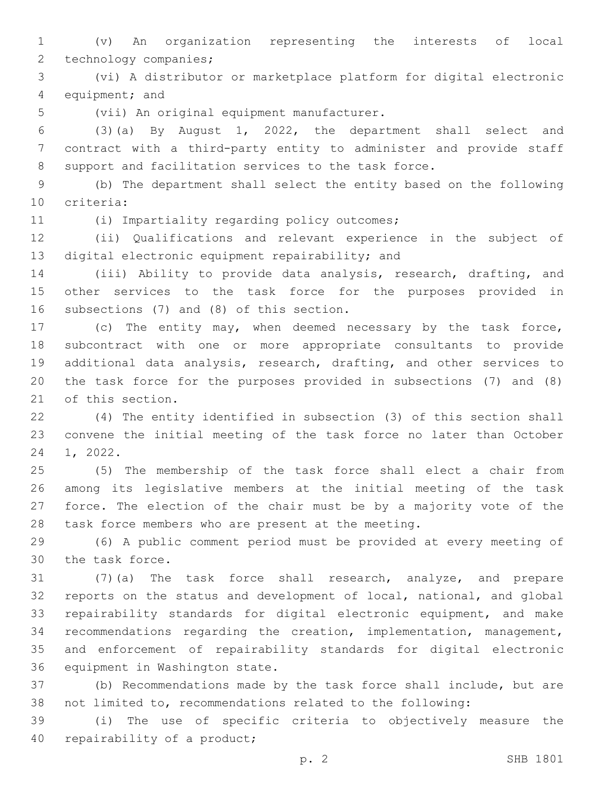(v) An organization representing the interests of local 2 technology companies;

 (vi) A distributor or marketplace platform for digital electronic 4 equipment; and

5 (vii) An original equipment manufacturer.

 (3)(a) By August 1, 2022, the department shall select and contract with a third-party entity to administer and provide staff support and facilitation services to the task force.

 (b) The department shall select the entity based on the following 10 criteria:

(i) Impartiality regarding policy outcomes;11

 (ii) Qualifications and relevant experience in the subject of 13 digital electronic equipment repairability; and

 (iii) Ability to provide data analysis, research, drafting, and other services to the task force for the purposes provided in 16 subsections  $(7)$  and  $(8)$  of this section.

 (c) The entity may, when deemed necessary by the task force, subcontract with one or more appropriate consultants to provide additional data analysis, research, drafting, and other services to the task force for the purposes provided in subsections (7) and (8) 21 of this section.

 (4) The entity identified in subsection (3) of this section shall convene the initial meeting of the task force no later than October 24 1, 2022.

 (5) The membership of the task force shall elect a chair from among its legislative members at the initial meeting of the task force. The election of the chair must be by a majority vote of the task force members who are present at the meeting.

 (6) A public comment period must be provided at every meeting of 30 the task force.

 (7)(a) The task force shall research, analyze, and prepare reports on the status and development of local, national, and global repairability standards for digital electronic equipment, and make recommendations regarding the creation, implementation, management, and enforcement of repairability standards for digital electronic 36 equipment in Washington state.

 (b) Recommendations made by the task force shall include, but are not limited to, recommendations related to the following:

 (i) The use of specific criteria to objectively measure the 40 repairability of a product;